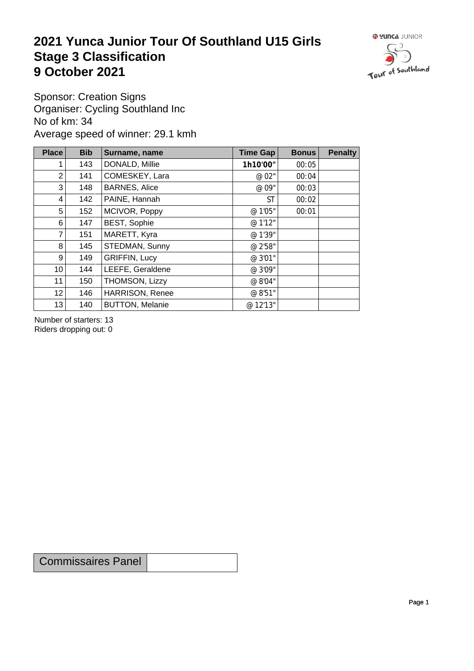## **2021 Yunca Junior Tour Of Southland U15 Girls** Stage 3 Classification<br>9 October 2021 **9 October 2021**



Sponsor: Creation Signs Organiser: Cycling Southland Inc No of km: 34 Average speed of winner: 29.1 kmh

| <b>Place</b>    | <b>Bib</b> | Surname, name          | Time Gap  | <b>Bonus</b> | <b>Penalty</b> |
|-----------------|------------|------------------------|-----------|--------------|----------------|
|                 | 143        | DONALD, Millie         | 1h10'00"  | 00:05        |                |
| $\overline{2}$  | 141        | COMESKEY, Lara         | @ 02"     | 00:04        |                |
| 3               | 148        | <b>BARNES, Alice</b>   | @ 09"     | 00:03        |                |
| 4               | 142        | PAINE, Hannah          | <b>ST</b> | 00:02        |                |
| 5               | 152        | MCIVOR, Poppy          | @ 1'05"   | 00:01        |                |
| 6               | 147        | <b>BEST, Sophie</b>    | @ 1'12"   |              |                |
| $\overline{7}$  | 151        | MARETT, Kyra           | @ 1'39"   |              |                |
| 8               | 145        | STEDMAN, Sunny         | @ 2'58"   |              |                |
| 9               | 149        | <b>GRIFFIN, Lucy</b>   | @ 3'01"   |              |                |
| 10 <sup>1</sup> | 144        | LEEFE, Geraldene       | @ 3'09"   |              |                |
| 11              | 150        | THOMSON, Lizzy         | @ 8'04"   |              |                |
| 12              | 146        | <b>HARRISON, Renee</b> | @ 8'51"   |              |                |
| 13              | 140        | <b>BUTTON, Melanie</b> | @ 12'13"  |              |                |

Number of starters: 13 Riders dropping out: 0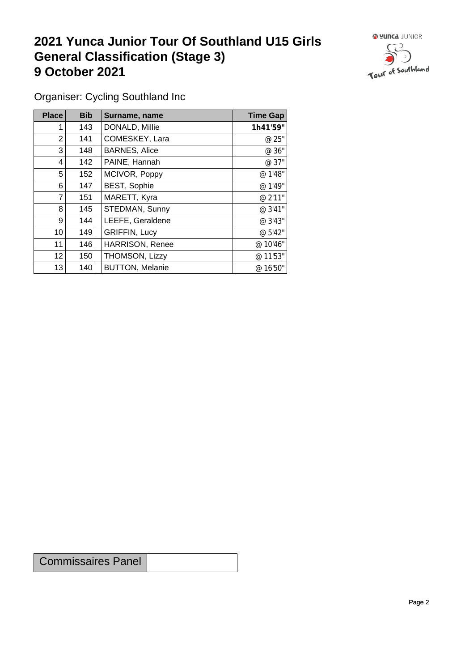## **2021 Yunca Junior Tour Of Southland U15 Girls General Classification (Stage 3)**<br> **9 October 2021 9 October 2021**



Organiser: Cycling Southland Inc

| Place           | <b>Bib</b> | Surname, name          | <b>Time Gap</b> |
|-----------------|------------|------------------------|-----------------|
|                 | 143        | DONALD, Millie         | 1h41'59"        |
| $\overline{2}$  | 141        | COMESKEY, Lara         | @ 25"           |
| 3               | 148        | <b>BARNES, Alice</b>   | @ 36"           |
| 4               | 142        | PAINE, Hannah          | @ 37"           |
| 5               | 152        | MCIVOR, Poppy          | @ 1'48"         |
| 6               | 147        | <b>BEST, Sophie</b>    | @ 1'49"         |
| 7               | 151        | MARETT, Kyra           | @ 2'11"         |
| 8               | 145        | STEDMAN, Sunny         | @ 3'41"         |
| 9               | 144        | LEEFE, Geraldene       | @ 3'43"         |
| 10              | 149        | <b>GRIFFIN, Lucy</b>   | @ 5'42"         |
| 11              | 146        | HARRISON, Renee        | @ 10'46"        |
| 12 <sub>2</sub> | 150        | THOMSON, Lizzy         | @ 11'53"        |
| 13              | 140        | <b>BUTTON, Melanie</b> | @ 16'50"        |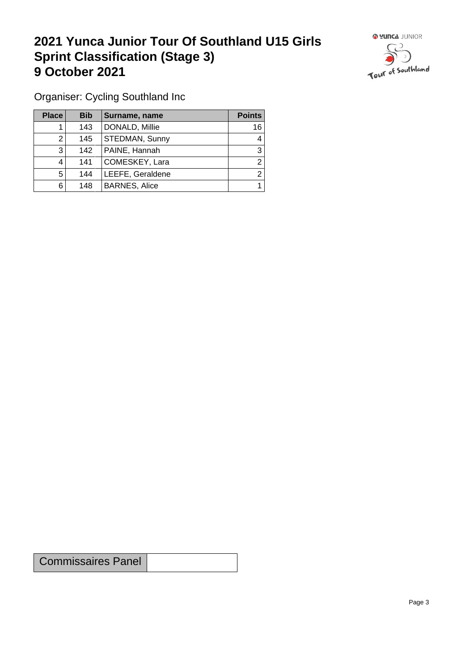## **2021 Yunca Junior Tour Of Southland U15 Girls Sprint Classification (Stage 3) 9 October 2021 19 October 2021**



Organiser: Cycling Southland Inc

| <b>Place</b> | <b>Bib</b> | Surname, name        | <b>Points</b> |
|--------------|------------|----------------------|---------------|
|              | 143        | DONALD, Millie       | 16            |
| ≏            | 145        | STEDMAN, Sunny       | 4             |
| 3            | 142        | PAINE, Hannah        | 3             |
| 4            | 141        | COMESKEY, Lara       | ◠             |
| 5            | 144        | LEEFE, Geraldene     | ⌒             |
| 6            | 148        | <b>BARNES, Alice</b> |               |